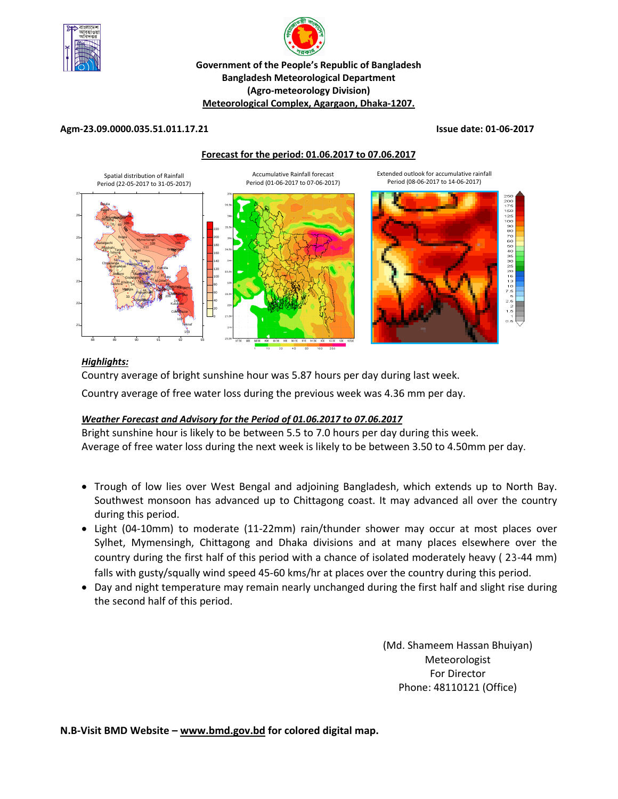



#### **(Agro‐meteorology Division) Meteorological Complex, Agargaon, Dhaka‐1207.**

#### **Agm‐23.09.0000.035.51.011.17.21 Issue date: 01‐06‐2017**

#### **Forecast for the period: 01.06.2017 to 07.06.2017**



#### *Highlights:*

Country average of bright sunshine hour was 5.87 hours per day during last week.

Country average of free water loss during the previous week was 4.36 mm per day.

#### *Weather Forecast and Advisory for the Period of 01.06.2017 to 07.06.2017*

Bright sunshine hour is likely to be between 5.5 to 7.0 hours per day during this week. Average of free water loss during the next week is likely to be between 3.50 to 4.50mm per day.

- Trough of low lies over West Bengal and adjoining Bangladesh, which extends up to North Bay. Southwest monsoon has advanced up to Chittagong coast. It may advanced all over the country during this period.
- Light (04‐10mm) to moderate (11‐22mm) rain/thunder shower may occur at most places over Sylhet, Mymensingh, Chittagong and Dhaka divisions and at many places elsewhere over the country during the first half of this period with a chance of isolated moderately heavy ( 23‐44 mm) falls with gusty/squally wind speed 45-60 kms/hr at places over the country during this period.
- Day and night temperature may remain nearly unchanged during the first half and slight rise during the second half of this period.

(Md. Shameem Hassan Bhuiyan) Meteorologist For Director Phone: 48110121 (Office)

**N.B‐Visit BMD Website – www.bmd.gov.bd for colored digital map.**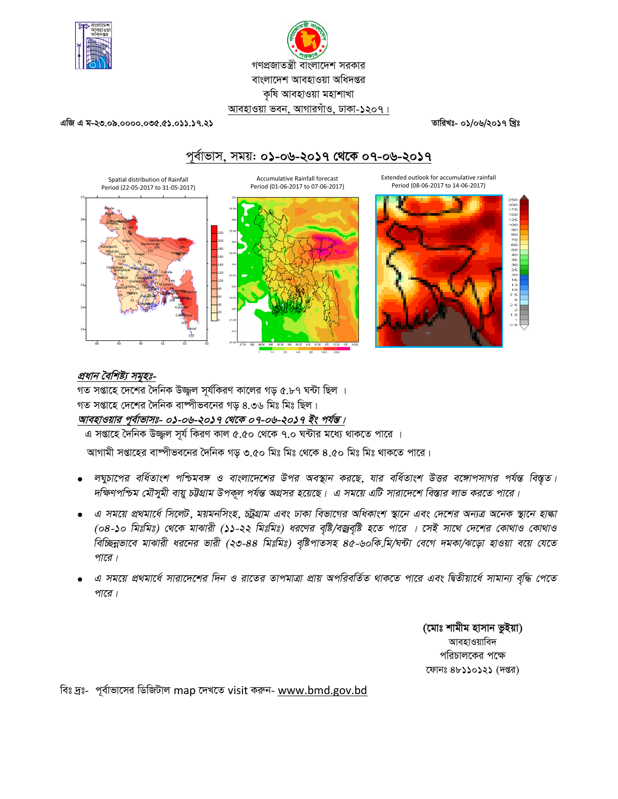

# গণপ্রজাতন্ত্রী বাংলাদেশ সরকার বাংলাদেশ আবহাওয়া অধিদপ্তর কৃষি আবহাওয়া মহাশাখা আবহাওয়া ভবন, আগারগাঁও, ঢাকা-১২০৭।

এজি এ ম-২৩.০৯.০০০০.০৩৫.৫১.০১১.১৭.২১

তারিখঃ- ০১/০৬/২০১৭ খ্রিঃ

# পূর্বাভাস, সময়: ০১-০৬-২০১৭ থেকে ০৭-০৬-২০১৭





Extended outlook for accumulative rainfall

Period (08-06-2017 to 14-06-2017)

### প্রধান বৈশিষ্ট্য সমূহঃ-

গত সপ্তাহে দেশের দৈনিক উজ্জুল সর্যকিরণ কালের গড় ৫.৮৭ ঘন্টা ছিল । গত সপ্তাহে দেশের দৈনিক বাষ্পীভবনের গড় ৪.৩৬ মিঃ মিঃ ছিল। আবহাওয়ার পূর্বাভাসঃ- ০১<u>-০৬-২০১৭ থেকে ০৭-০৬-২০১৭ ইং পর্যন্ত।</u>

এ সপ্তাহে দৈনিক উজ্জল সূর্য কিরণ কাল ৫.৫০ থেকে ৭.০ ঘন্টার মধ্যে থাকতে পারে ।

আগামী সপ্তাহের বাষ্পীভবনের দৈনিক গড় ৩.৫০ মিঃ মিঃ থেকে ৪.৫০ মিঃ মিঃ থাকতে পারে।

- লঘুচাপের বর্ধিতাংশ পশ্চিমবঙ্গ ও বাংলাদেশের উপর অবস্থান করছে, যার বর্ধিতাংশ উত্তর বঙ্গোপসাগর পর্যন্ত বিস্তৃত। দক্ষিণপশ্চিম মৌসুমী বায়ু চউগ্রাম উপকূল পর্যন্ত অগ্রসর হয়েছে। এ সময়ে এটি সারাদেশে বিস্তার লাভ করতে পারে।
- এ সময়ে প্রথমার্ধে সিলেট, ময়মনসিংহ, চট্রগ্রাম এবং ঢাকা বিভাগের অধিকাংশ স্থানে এবং দেশের অন্যত্র অনেক স্থানে হাল্কা (০৪-১০ মিঃমিঃ) থেকে মাঝারী (১১-২২ মিঃমিঃ) ধরণের বৃষ্টি/বজ্রবৃষ্টি হতে পারে । সেই সাথে দেশের কোথাও কোথাও বিচ্ছিন্নভাবে মাঝারী ধরনের ভারী (২৩-৪৪ মিঃমিঃ) বৃষ্টিপাতসহ ৪৫-৬০কি.মি/ঘন্টা বেগে দমকা/ঝড়ো হাওয়া বয়ে যেতে পারে।
- এ সময়ে প্রথমার্ধে সারাদেশের দিন ও রাতের তাপমাত্রা প্রায় অপরিবর্তিত থাকতে পারে এবং দ্বিতীয়ার্ধে সামান্য বৃদ্ধি পেতে পারে।

(মোঃ শামীম হাসান ভুইয়া) আবহাওয়াবিদ পরিচালকের পক্ষে ফোনঃ ৪৮১১০১২১ (দপ্তর)

বিঃ দ্রঃ- পূর্বাভাসের ডিজিটাল map দেখতে visit করুন- www.bmd.gov.bd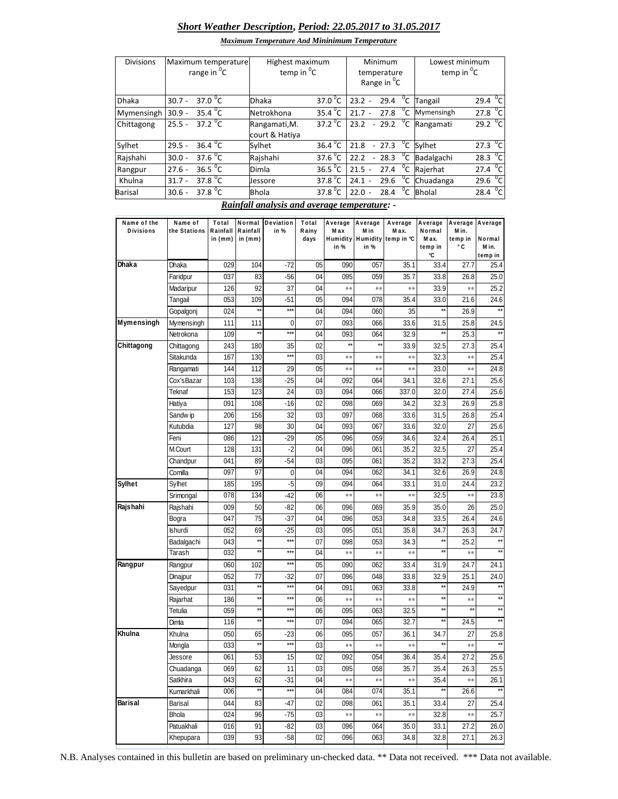## *Short Weather Description***,** *Period: 22.05.2017 to 31.05.2017*

| <b>Divisions</b> | Maximum temperature<br>range in <sup>v</sup> C | Highest maximum<br>temp in $^0C$ |                       | Minimum<br>temperature<br>Range in <sup>°</sup> C | Lowest minimum<br>temp in ${}^{0}C$       |  |  |
|------------------|------------------------------------------------|----------------------------------|-----------------------|---------------------------------------------------|-------------------------------------------|--|--|
| <b>Dhaka</b>     | 37.0 $^{\circ}$ C<br>$30.7 -$                  | <b>Dhaka</b>                     | 37.0 $\mathrm{^{0}C}$ | $\overline{C}$<br>$23.2 -$<br>29.4                | 29.4 $^{\circ}$ C<br>Tangail              |  |  |
| Mymensingh       | 35.4 $^{\circ}$ C<br>$30.9 -$                  | Netrokhona                       | $35.4\,^0$ C          | $^0C$<br>27.8<br>$21.7 -$                         | $\overline{c}$<br>27.8<br>Mymensingh      |  |  |
| Chittagong       | 37.2 <sup>o</sup> C<br>$25.5 -$                | Rangamati, M.<br>court & Hatiya  | 37.2 $\mathrm{^0C}$   | $^0C$<br>23.2<br>$-29.2$                          | $^{0}$ C<br>29.2<br>Rangamati             |  |  |
| Sylhet           | 36.4 $\degree$ C<br>$29.5 -$                   | Sylhet                           | $36.4\text{°C}$       | $-27.3$<br>21.8                                   | $27.3\text{ °C}$<br><sup>0</sup> C Sylhet |  |  |
| Rajshahi         | 37.6 $^{\circ}$ C<br>$30.0 -$                  | Raishahi                         | 37.6 $^{\circ}$ C     | $\overline{C}$<br>$-28.3$<br>22.2                 | $\sigma_{\rm C}$<br>28.3<br>Badalgachi    |  |  |
| Rangpur          | 36.5 $^{\circ}$ C<br>$27.6 -$                  | Dimla                            | 36.5 $\mathrm{^{0}C}$ | $^0C$<br>21.5<br>27.4<br>$\sim$                   | $^{\circ}$ cl<br>Rajerhat<br>27.4         |  |  |
| Khulna           | 37.8 $^0C$<br>$31.7 -$                         | Jessore                          | 37.8 $^0$ C           | $^0C$<br>29.6<br>24.1<br>$\sim$                   | $^{\circ}$ cl<br>Chuadanga<br>29.6        |  |  |
| <b>Barisal</b>   | 37.8 $^{\circ}$ C<br>$30.6 -$                  | <b>Bhola</b>                     | 37.8 <sup>0</sup> C   | $^0C$<br>22.0<br>28.4<br>$\overline{\phantom{a}}$ | $\overline{C}$<br><b>Bholal</b><br>28.4   |  |  |

*Rainfall analysis and average temperature: -*

| Name of the<br><b>Divisions</b> | Name of<br>the Stations | Total<br>Rainfall | Normal<br>Rainfall           | Deviation<br>in % | Total<br>Rainy  | Max          | Average Average<br>M in | Average<br>M ax.             | Average<br>Normal    | Average Average<br>M in. |                      |
|---------------------------------|-------------------------|-------------------|------------------------------|-------------------|-----------------|--------------|-------------------------|------------------------------|----------------------|--------------------------|----------------------|
|                                 |                         | in (mm)           | in $(mm)$                    |                   | days            |              |                         | Humidity Humidity temp in °C | Max.                 | temp in                  | Normal               |
|                                 |                         |                   |                              |                   |                 | in %         | in %                    |                              | temp in<br>۰c        | ۰c                       | M in.<br>temp in     |
| Dhaka                           | Dhaka                   | 029               | 104                          | $-72$             | 05              | 090          | 057                     | 35.1                         | 33.4                 | 27.7                     | 25.4                 |
|                                 | Faridpur                | 037               | 83                           | $-56$             | 04              | 095          | 059                     | 35.7                         | 33.8                 | 26.8                     | 25.0                 |
|                                 | Madaripur               | 126               | 92                           | 37                | 04              | $**$         | **                      | **                           | 33.9                 | **                       | 25.2                 |
|                                 | Tangail                 | 053               | 109                          | $-51$             | 05              | 094          | 078                     | 35.4                         | 33.0                 | 21.6                     | 24.6                 |
|                                 | Gopalgonj               | 024               | $**$                         | $***$             | 04              | 094          | 060                     | 35                           | $\star\star$         | 26.9                     |                      |
| Mymensingh                      | Mymensingh              | 111               | 111                          | 0                 | 07              | 093          | 066                     | 33.6                         | 31.5                 | 25.8                     | 24.5                 |
|                                 | Netrokona               | 109               | $^{\star\star}$              | $***$             | 04              | 093          | 064                     | 32.9                         | $\star\star$         | 25.3                     | $**$                 |
| Chittagong                      | Chittagong              | 243               | 180                          | 35                | 02              | $\star\star$ | $\star\star$            | 33.9                         | 32.5                 | 27.3                     | 25.4                 |
|                                 | Sitakunda               | 167               | 130                          | $***$             | 03              | **           | $**$                    | $\ast\ast$                   | 32.3                 | $\ast\ast$               | 25.4                 |
|                                 | Rangamati               | 144               | 112                          | 29                | 05              | $**$         | $**$                    | **                           | 33.0                 | $* *$                    | 24.8                 |
|                                 | Cox'sBazar              | 103               | 138                          | $-25$             | 04              | 092          | 064                     | 34.1                         | 32.6                 | 27.1                     | 25.6                 |
|                                 | Teknaf                  | 153               | 123                          | 24                | 03              | 094          | 066                     | 337.0                        | 32.0                 | 27.4                     | 25.6                 |
|                                 | Hatiya                  | 091               | 108                          | $-16$             | 02              | 098          | 069                     | 34.2                         | 32.3                 | 26.9                     | 25.8                 |
|                                 | Sandw ip                | 206               | 156                          | 32                | 03              | 097          | 068                     | 33.6                         | 31.5                 | 26.8                     | 25.4                 |
|                                 | Kutubdia                | 127               | 98                           | 30                | 04              | 093          | 067                     | 33.6                         | 32.0                 | 27                       | 25.6                 |
|                                 | Feni                    | 086               | 121                          | $-29$             | 05              | 096          | 059                     | 34.6                         | 32.4                 | 26.4                     | 25.1                 |
|                                 | M.Court                 | 128               | 131                          | $-2$              | 04              | 096          | 061                     | 35.2                         | 32.5                 | 27                       | 25.4                 |
|                                 | Chandpur                | 041               | 89                           | $-54$             | 03              | 095          | 061                     | 35.2                         | 33.2                 | 27.3                     | 25.4                 |
|                                 | Comilla                 | 097               | 97                           | 0                 | 04              | 094          | 062                     | 34.1                         | 32.6                 | 26.9                     | 24.8                 |
| Sylhet                          | Sylhet                  | 185               | 195                          | $-5$              | 09              | 094          | 064                     | 33.1                         | 31.0                 | 24.4                     | 23.2                 |
|                                 | Srimongal               | 078               | 134                          | $-42$             | 06              | **           | **                      | $\ast\ast$                   | 32.5                 | $* *$                    | 23.8                 |
| Rajshahi                        | Rajshahi                | 009               | 50                           | $-82$             | 06              | 096          | 069                     | 35.9                         | 35.0                 | 26                       | 25.0                 |
|                                 | Bogra                   | 047               | 75                           | $-37$             | 04              | 096          | 053                     | 34.8                         | 33.5                 | 26.4                     | 24.6                 |
|                                 | lshurdi                 | 052               | 69                           | $-25$             | 03              | 095          | 051                     | 35.8                         | 34.7                 | 26.3                     | 24.7                 |
|                                 | Badalgachi              | 043               | $\star\star$                 | $***$             | 07              | 098          | 053                     | 34.3                         | $\star\star$         | 25.2                     |                      |
|                                 | Tarash                  | 032               | $\star\star$                 | $***$             | 04              | $**$         | $\ast\ast$              | **                           | $\star\star$         | $\ast\ast$               |                      |
| Rangpur                         | Rangpur                 | 060               | 102                          | $***$             | 05              | 090          | 062                     | 33.4                         | 31.9                 | 24.7                     | 24.1                 |
|                                 | Dinajpur                | 052               | 77                           | $-32$             | 07              | 096          | 048                     | 33.8                         | 32.9                 | 25.1                     | 24.0                 |
|                                 | Sayedpur                | 031               | $\star\star$                 | $***$             | 04              | 091          | 063                     | 33.8                         | $\star\star$         | 24.9                     |                      |
|                                 | Rajarhat                | 186               | $^{\star\star}$              | $***$             | 06              | **           | $\ast\ast$              | **                           | **                   | $\ast\ast$               | $***$                |
|                                 | Tetulia                 | 059               | $\star\star$<br>$\star\star$ | $***$<br>$***$    | 06              | 095          | 063                     | 32.5                         | $\star\star$         |                          | $**$                 |
|                                 | Dimla                   | 116               |                              |                   | 07              | 094          | 065                     | 32.7                         |                      | 24.5                     |                      |
| Khulna                          | Khulna                  | 050               | 65                           | $-23$<br>$***$    | 06              | 095          | 057                     | 36.1                         | 34.7<br>**           | 27                       | 25.8<br>$\star\star$ |
|                                 | Mongla                  | 033               | $\star\star$                 |                   | 03              | **           | **                      | **                           |                      | $**$                     |                      |
|                                 | Jessore                 | 061               | 53                           | 15                | 02              | 092          | 054                     | 36.4                         | 35.4                 | 27.2                     | 25.6                 |
|                                 | Chuadanga               | 069               | 62                           | $\overline{11}$   | $\overline{03}$ | 095          | 058                     | 35.7                         | 35.4                 | 26.3                     | 25.5                 |
|                                 | Satkhira                | 043               | 62<br>$\star\star$           | $-31$             | 04              | $***$        | $***$                   | $***$                        | 35.4<br>$\star\star$ | $***$                    | 26.1<br>$**$         |
|                                 | Kumarkhali              | 006               |                              | $***$             | 04              | 084          | 074                     | 35.1                         |                      | 26.6                     |                      |
| Barisal                         | Barisal                 | 044               | 83                           | $-47$             | 02              | 098          | 061                     | 35.1                         | 33.4                 | 27                       | 25.4                 |
|                                 | Bhola                   | 024               | 96                           | $-75$             | 03              | $\ast\ast$   | $\ast\ast$              | $\ast\ast$                   | 32.8                 | $\ast\ast$               | 25.7                 |
|                                 | Patuakhali              | 016               | 91                           | $-82$             | 03              | 096          | 064                     | 35.0                         | 33.1                 | 27.2                     | 26.0                 |
|                                 | Khepupara               | 039               | 93                           | $-58$             | 02              | 096          | 063                     | 34.8                         | 32.8                 | 27.1                     | 26.3                 |

N.B. Analyses contained in this bulletin are based on preliminary un-checked data. \*\* Data not received. \*\*\* Data not available.